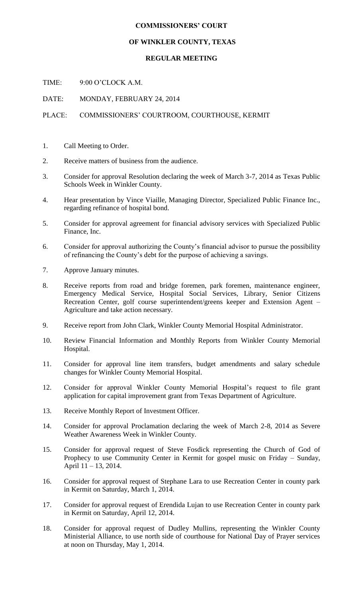## **COMMISSIONERS' COURT**

## **OF WINKLER COUNTY, TEXAS**

## **REGULAR MEETING**

TIME: 9:00 O'CLOCK A.M.

DATE: MONDAY, FEBRUARY 24, 2014

## PLACE: COMMISSIONERS' COURTROOM, COURTHOUSE, KERMIT

- 1. Call Meeting to Order.
- 2. Receive matters of business from the audience.
- 3. Consider for approval Resolution declaring the week of March 3-7, 2014 as Texas Public Schools Week in Winkler County.
- 4. Hear presentation by Vince Viaille, Managing Director, Specialized Public Finance Inc., regarding refinance of hospital bond.
- 5. Consider for approval agreement for financial advisory services with Specialized Public Finance, Inc.
- 6. Consider for approval authorizing the County's financial advisor to pursue the possibility of refinancing the County's debt for the purpose of achieving a savings.
- 7. Approve January minutes.
- 8. Receive reports from road and bridge foremen, park foremen, maintenance engineer, Emergency Medical Service, Hospital Social Services, Library, Senior Citizens Recreation Center, golf course superintendent/greens keeper and Extension Agent – Agriculture and take action necessary.
- 9. Receive report from John Clark, Winkler County Memorial Hospital Administrator.
- 10. Review Financial Information and Monthly Reports from Winkler County Memorial Hospital.
- 11. Consider for approval line item transfers, budget amendments and salary schedule changes for Winkler County Memorial Hospital.
- 12. Consider for approval Winkler County Memorial Hospital's request to file grant application for capital improvement grant from Texas Department of Agriculture.
- 13. Receive Monthly Report of Investment Officer.
- 14. Consider for approval Proclamation declaring the week of March 2-8, 2014 as Severe Weather Awareness Week in Winkler County.
- 15. Consider for approval request of Steve Fosdick representing the Church of God of Prophecy to use Community Center in Kermit for gospel music on Friday – Sunday, April 11 – 13, 2014.
- 16. Consider for approval request of Stephane Lara to use Recreation Center in county park in Kermit on Saturday, March 1, 2014.
- 17. Consider for approval request of Erendida Lujan to use Recreation Center in county park in Kermit on Saturday, April 12, 2014.
- 18. Consider for approval request of Dudley Mullins, representing the Winkler County Ministerial Alliance, to use north side of courthouse for National Day of Prayer services at noon on Thursday, May 1, 2014.